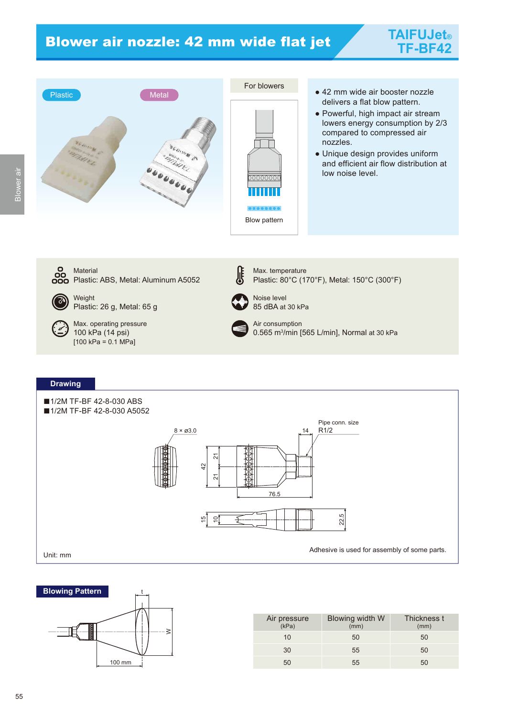## Blower air nozzle: 42 mm wide flat jet







- 42 mm wide air booster nozzle delivers a flat blow pattern.
- Powerful, high impact air stream lowers energy consumption by 2/3 compared to compressed air nozzles.
- Unique design provides uniform and efficient air flow distribution at low noise level.









| Air pressure<br>(kPa) | Blowing width W<br>(mm) | Thickness t<br>(mm) |
|-----------------------|-------------------------|---------------------|
| 10                    | $50^{\circ}$            | 50                  |
| 30                    | 55                      | 50                  |
| 50                    | 55                      | 50                  |